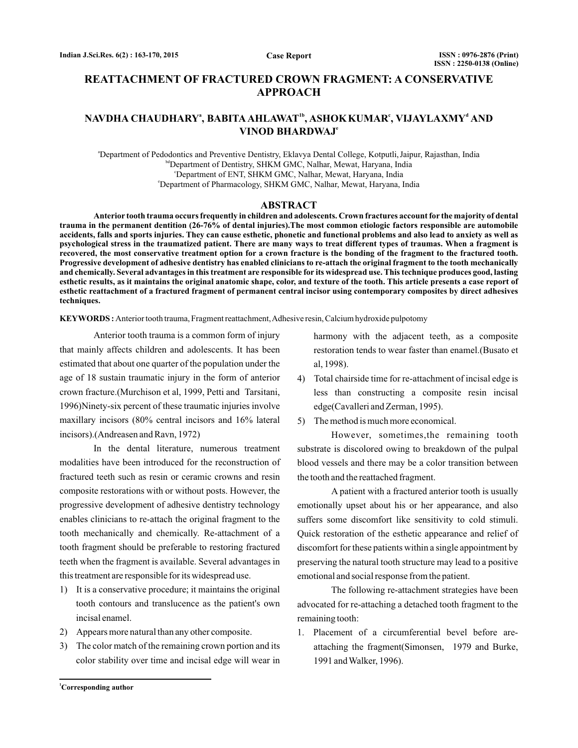# **REATTACHMENT OF FRACTURED CROWN FRAGMENT: A CONSERVATIVE APPROACH**

# <code>NAVDHA CHAUDHARY</code>ª, BABITA AHLAWAT $^{\text{\tiny{th}}}$ , ASHOK KUMAR<code>°, VIJAYLAXMY</code>ª AND **VINOD BHARDWAJ e**

a Department of Pedodontics and Preventive Dentistry, Eklavya Dental College, Kotputli,Jaipur, Rajasthan, India bdDepartment of Dentistry, SHKM GMC, Nalhar, Mewat, Haryana, India c Department of ENT, SHKM GMC, Nalhar, Mewat, Haryana, India e Department of Pharmacology, SHKM GMC, Nalhar, Mewat, Haryana, India

#### **ABSTRACT**

**Anterior tooth trauma occurs frequently in children and adolescents. Crown fractures account for the majority of dental trauma in the permanent dentition (26-76% of dental injuries).The most common etiologic factors responsible are automobile accidents, falls and sports injuries. They can cause esthetic, phonetic and functional problems and also lead to anxiety as well as psychological stress in the traumatized patient. There are many ways to treat different types of traumas. When a fragment is recovered, the most conservative treatment option for a crown fracture is the bonding of the fragment to the fractured tooth. Progressive development of adhesive dentistry has enabled clinicians to re-attach the original fragment to the tooth mechanically and chemically. Several advantages in this treatment are responsible for its widespread use. This technique produces good, lasting esthetic results, as it maintains the original anatomic shape, color, and texture of the tooth. This article presents a case report of esthetic reattachment of a fractured fragment of permanent central incisor using contemporary composites by direct adhesives techniques.**

**KEYWORDS :** Anterior tooth trauma, Fragment reattachment,Adhesive resin, Calcium hydroxide pulpotomy

Anterior tooth trauma is a common form of injury that mainly affects children and adolescents. It has been estimated that about one quarter of the population under the age of 18 sustain traumatic injury in the form of anterior crown fracture.(Murchison et al, 1999, Petti and Tarsitani, 1996)Ninety-six percent of these traumatic injuries involve maxillary incisors (80% central incisors and 16% lateral incisors).(Andreasen and Ravn, 1972)

In the dental literature, numerous treatment modalities have been introduced for the reconstruction of fractured teeth such as resin or ceramic crowns and resin composite restorations with or without posts. However, the progressive development of adhesive dentistry technology enables clinicians to re-attach the original fragment to the tooth mechanically and chemically. Re-attachment of a tooth fragment should be preferable to restoring fractured teeth when the fragment is available. Several advantages in this treatment are responsible for its widespread use.

- 1) It is a conservative procedure; it maintains the original tooth contours and translucence as the patient's own incisal enamel.
- 2) Appears more natural than any other composite.
- 3) The color match of the remaining crown portion and its color stability over time and incisal edge will wear in

harmony with the adjacent teeth, as a composite restoration tends to wear faster than enamel.(Busato et al, 1998).

- 4) Total chairside time for re-attachment of incisal edge is less than constructing a composite resin incisal edge(Cavalleri and Zerman, 1995).
- 5) The method is much more economical.

However, sometimes,the remaining tooth substrate is discolored owing to breakdown of the pulpal blood vessels and there may be a color transition between the tooth and the reattached fragment.

A patient with a fractured anterior tooth is usually emotionally upset about his or her appearance, and also suffers some discomfort like sensitivity to cold stimuli. Quick restoration of the esthetic appearance and relief of discomfort for these patients within a single appointment by preserving the natural tooth structure may lead to a positive emotional and social response from the patient.

The following re-attachment strategies have been advocated for re-attaching a detached tooth fragment to the remaining tooth:

1. Placement of a circumferential bevel before areattaching the fragment(Simonsen, 1979 and Burke, 1991 and Walker, 1996).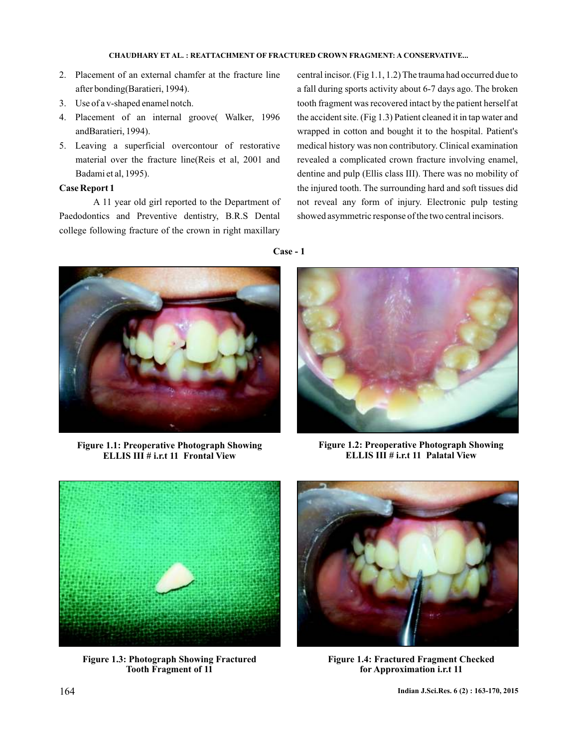## **CHAUDHARY REATTACHMENT OF FRACTURED CROWN FRAGMENT: A CONSERVATIVE... ET AL. :**

**Case - 1**

- 2. Placement of an external chamfer at the fracture line after bonding(Baratieri, 1994).
- 3. Use of a v-shaped enamel notch.
- 4. Placement of an internal groove( Walker, 1996 andBaratieri, 1994).
- 5. Leaving a superficial overcontour of restorative material over the fracture line(Reis et al, 2001 and Badami et al, 1995).

## **Case Report 1**

A 11 year old girl reported to the Department of Paedodontics and Preventive dentistry, B.R.S Dental college following fracture of the crown in right maxillary central incisor. (Fig 1.1, 1.2) The trauma had occurred due to a fall during sports activity about 6-7 days ago. The broken tooth fragment was recovered intact by the patient herself at the accident site. (Fig 1.3) Patient cleaned it in tap water and wrapped in cotton and bought it to the hospital. Patient's medical history was non contributory. Clinical examination revealed a complicated crown fracture involving enamel, dentine and pulp (Ellis class III). There was no mobility of the injured tooth. The surrounding hard and soft tissues did not reveal any form of injury. Electronic pulp testing showed asymmetric response of the two central incisors.



**Figure 1.1: Preoperative Photograph Showing ELLIS III # i.r.t 11 Frontal View**



**Figure 1.2: Preoperative Photograph Showing ELLIS III # i.r.t 11 Palatal View**



**Figure 1.3: Photograph Showing Fractured Tooth Fragment of 11**



**Figure 1.4: Fractured Fragment Checked for Approximation i.r.t 11**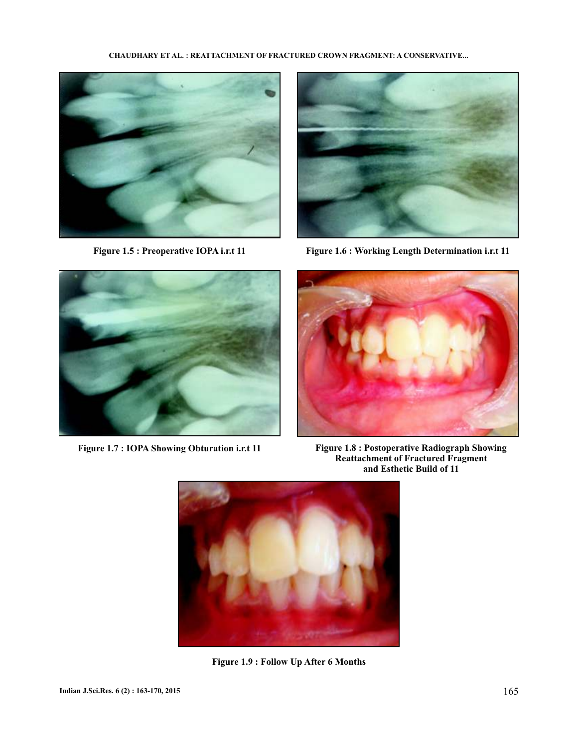### **CHAUDHARY ET AL. : REATTACHMENT OF FRACTURED CROWN FRAGMENT: A CONSERVATIVE...**





**Figure 1.5 : Preoperative IOPA i.r.t 11 Figure 1.6 : Working Length Determination i.r.t 11**





**Figure 1.7 : IOPA Showing Obturation i.r.t 11 Figure 1.8 : Postoperative Radiograph Showing Reattachment of Fractured Fragment and Esthetic Build of 11**



**Figure 1.9 : Follow Up After 6 Months**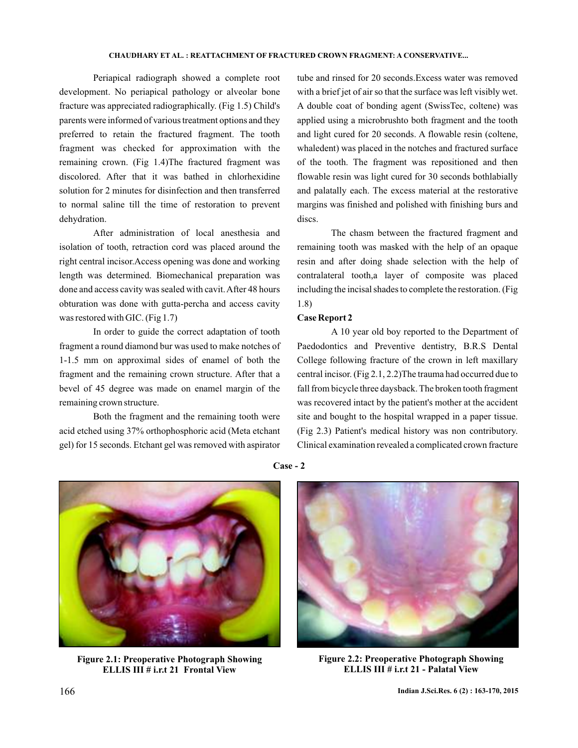Periapical radiograph showed a complete root development. No periapical pathology or alveolar bone fracture was appreciated radiographically. (Fig 1.5) Child's parents were informed of various treatment options and they preferred to retain the fractured fragment. The tooth fragment was checked for approximation with the remaining crown. (Fig 1.4)The fractured fragment was discolored. After that it was bathed in chlorhexidine solution for 2 minutes for disinfection and then transferred to normal saline till the time of restoration to prevent dehydration.

After administration of local anesthesia and isolation of tooth, retraction cord was placed around the right central incisor.Access opening was done and working length was determined. Biomechanical preparation was done and access cavity was sealed with cavit.After 48 hours obturation was done with gutta-percha and access cavity was restored with GIC. (Fig 1.7)

In order to guide the correct adaptation of tooth fragment a round diamond bur was used to make notches of 1-1.5 mm on approximal sides of enamel of both the fragment and the remaining crown structure. After that a bevel of 45 degree was made on enamel margin of the remaining crown structure.

Both the fragment and the remaining tooth were acid etched using 37% orthophosphoric acid (Meta etchant gel) for 15 seconds. Etchant gel was removed with aspirator tube and rinsed for 20 seconds.Excess water was removed with a brief jet of air so that the surface was left visibly wet. A double coat of bonding agent (SwissTec, coltene) was applied using a microbrushto both fragment and the tooth and light cured for 20 seconds. A flowable resin (coltene, whaledent) was placed in the notches and fractured surface of the tooth. The fragment was repositioned and then flowable resin was light cured for 30 seconds bothlabially and palatally each. The excess material at the restorative margins was finished and polished with finishing burs and discs.

The chasm between the fractured fragment and remaining tooth was masked with the help of an opaque resin and after doing shade selection with the help of contralateral tooth,a layer of composite was placed including the incisal shades to complete the restoration. (Fig 1.8)

## **Case Report 2**

**Case - 2**

A 10 year old boy reported to the Department of Paedodontics and Preventive dentistry, B.R.S Dental College following fracture of the crown in left maxillary central incisor. (Fig 2.1, 2.2)The trauma had occurred due to fall from bicycle three daysback. The broken tooth fragment was recovered intact by the patient's mother at the accident site and bought to the hospital wrapped in a paper tissue. (Fig 2.3) Patient's medical history was non contributory. Clinical examination revealed a complicated crown fracture



**Figure 2.1: Preoperative Photograph Showing ELLIS III # i.r.t 21 Frontal View**



**Figure 2.2: Preoperative Photograph Showing ELLIS III # i.r.t 21 - Palatal View**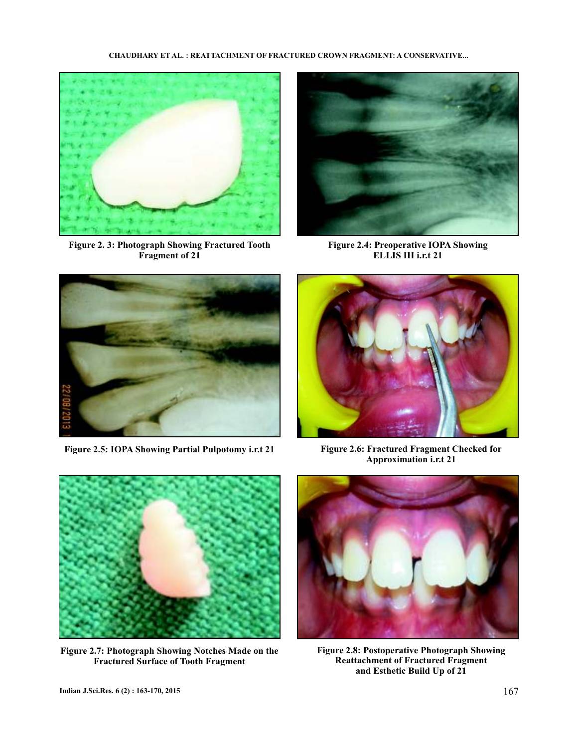### **CHAUDHARY ET AL. : REATTACHMENT OF FRACTURED CROWN FRAGMENT: A CONSERVATIVE...**



**Figure 2. 3: Photograph Showing Fractured Tooth Fragment of 21**



**Figure 2.4: Preoperative IOPA Showing ELLIS III i.r.t** 21



Figure 2.5: IOPA Showing Partial Pulpotomy i.r.t 21 Figure 2.6: Fractured Fragment Checked for



**Approximation i.r.t 21** 



**Figure 2.7: Photograph Showing Notches Made on the Fractured Surface of Tooth Fragment**



**Figure 2.8: Postoperative Photograph Showing Reattachment of Fractured Fragment and Esthetic Build Up of 21**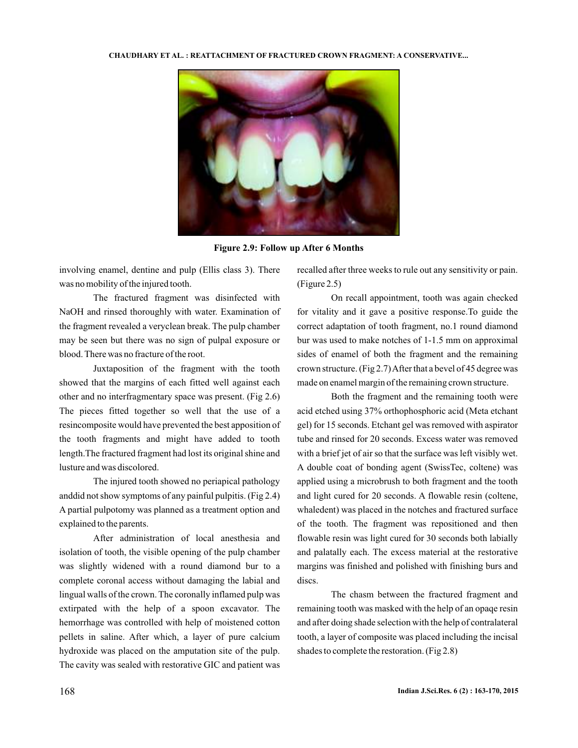

**Figure 2.9: Follow up After 6 Months**

involving enamel, dentine and pulp (Ellis class 3). There was no mobility of the injured tooth.

The fractured fragment was disinfected with NaOH and rinsed thoroughly with water. Examination of the fragment revealed a veryclean break. The pulp chamber may be seen but there was no sign of pulpal exposure or blood. There was no fracture of the root.

Juxtaposition of the fragment with the tooth showed that the margins of each fitted well against each other and no interfragmentary space was present. (Fig 2.6) The pieces fitted together so well that the use of a resincomposite would have prevented the best apposition of the tooth fragments and might have added to tooth length.The fractured fragment had lost its original shine and lusture and was discolored.

The injured tooth showed no periapical pathology anddid not show symptoms of any painful pulpitis. (Fig 2.4) A partial pulpotomy was planned as a treatment option and explained to the parents.

After administration of local anesthesia and isolation of tooth, the visible opening of the pulp chamber was slightly widened with a round diamond bur to a complete coronal access without damaging the labial and lingual walls of the crown. The coronally inflamed pulp was extirpated with the help of a spoon excavator. The hemorrhage was controlled with help of moistened cotton pellets in saline. After which, a layer of pure calcium hydroxide was placed on the amputation site of the pulp. The cavity was sealed with restorative GIC and patient was

recalled after three weeks to rule out any sensitivity or pain. (Figure 2.5)

On recall appointment, tooth was again checked for vitality and it gave a positive response.To guide the correct adaptation of tooth fragment, no.1 round diamond bur was used to make notches of 1-1.5 mm on approximal sides of enamel of both the fragment and the remaining crown structure. (Fig 2.7) After that a bevel of 45 degree was made on enamel margin of the remaining crown structure.

Both the fragment and the remaining tooth were acid etched using 37% orthophosphoric acid (Meta etchant gel) for 15 seconds. Etchant gel was removed with aspirator tube and rinsed for 20 seconds. Excess water was removed with a brief jet of air so that the surface was left visibly wet. A double coat of bonding agent (SwissTec, coltene) was applied using a microbrush to both fragment and the tooth and light cured for 20 seconds. A flowable resin (coltene, whaledent) was placed in the notches and fractured surface of the tooth. The fragment was repositioned and then flowable resin was light cured for 30 seconds both labially and palatally each. The excess material at the restorative margins was finished and polished with finishing burs and discs.

The chasm between the fractured fragment and remaining tooth was masked with the help of an opaqe resin and after doing shade selection with the help of contralateral tooth, a layer of composite was placed including the incisal shades to complete the restoration. (Fig 2.8)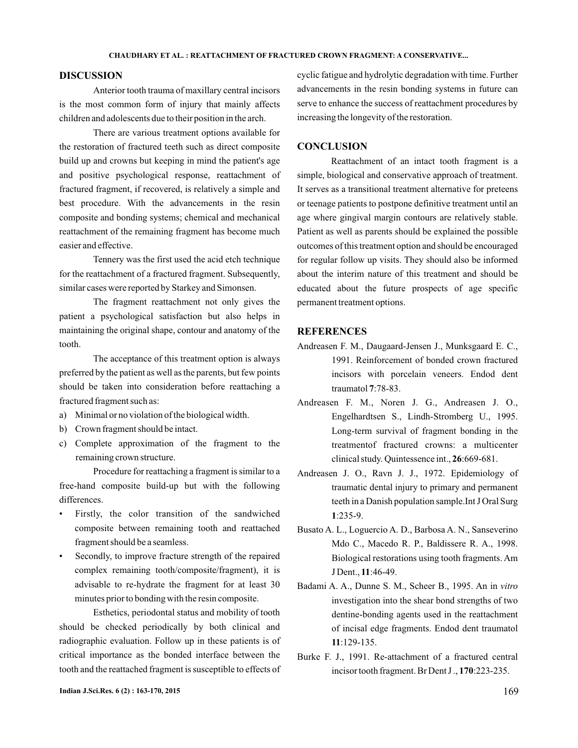## **DISCUSSION**

Anterior tooth trauma of maxillary central incisors is the most common form of injury that mainly affects children and adolescents due to their position in the arch.

There are various treatment options available for the restoration of fractured teeth such as direct composite build up and crowns but keeping in mind the patient's age and positive psychological response, reattachment of fractured fragment, if recovered, is relatively a simple and best procedure. With the advancements in the resin composite and bonding systems; chemical and mechanical reattachment of the remaining fragment has become much easier and effective.

Tennery was the first used the acid etch technique for the reattachment of a fractured fragment. Subsequently, similar cases were reported by Starkey and Simonsen.

The fragment reattachment not only gives the patient a psychological satisfaction but also helps in maintaining the original shape, contour and anatomy of the tooth.

The acceptance of this treatment option is always preferred by the patient as well as the parents, but few points should be taken into consideration before reattaching a fractured fragment such as:

- a) Minimal or no violation of the biological width.
- b) Crown fragment should be intact.
- c) Complete approximation of the fragment to the remaining crown structure.

Procedure for reattaching a fragment is similar to a free-hand composite build-up but with the following differences.

- Firstly, the color transition of the sandwiched composite between remaining tooth and reattached fragment should be a seamless.
- Secondly, to improve fracture strength of the repaired complex remaining tooth/composite/fragment), it is advisable to re-hydrate the fragment for at least 30 minutes prior to bonding with the resin composite.

Esthetics, periodontal status and mobility of tooth should be checked periodically by both clinical and radiographic evaluation. Follow up in these patients is of critical importance as the bonded interface between the tooth and the reattached fragment is susceptible to effects of

cyclic fatigue and hydrolytic degradation with time. Further advancements in the resin bonding systems in future can serve to enhance the success of reattachment procedures by increasing the longevity of the restoration.

## **CONCLUSION**

Reattachment of an intact tooth fragment is a simple, biological and conservative approach of treatment. It serves as a transitional treatment alternative for preteens or teenage patients to postpone definitive treatment until an age where gingival margin contours are relatively stable. Patient as well as parents should be explained the possible outcomes of this treatment option and should be encouraged for regular follow up visits. They should also be informed about the interim nature of this treatment and should be educated about the future prospects of age specific permanent treatment options.

## **REFERENCES**

- Andreasen F. M., Daugaard-Jensen J., Munksgaard E. C., 1991. Reinforcement of bonded crown fractured incisors with porcelain veneers. Endod dent traumatol **7**:78-83.
- Andreasen F. M., Noren J. G., Andreasen J. O., Engelhardtsen S., Lindh-Stromberg U., 1995. Long-term survival of fragment bonding in the treatmentof fractured crowns: a multicenter clinical study. Quintessence int., 26:669-681.
- Andreasen J. O., Ravn J. J., 1972. Epidemiology of traumatic dental injury to primary and permanent teeth in a Danish population sample.Int J Oral Surg :235-9. **1**
- Busato A. L., Loguercio A. D., Barbosa A. N., Sanseverino Mdo C., Macedo R. P., Baldissere R. A., 1998. Biological restorations using tooth fragments. Am J Dent., 11:46-49.
- Badami A. A., Dunne S. M., Scheer B., 1995. An in *vitro* investigation into the shear bond strengths of two dentine-bonding agents used in the reattachment of incisal edge fragments. Endod dent traumatol :129-135. **11**
- Burke F. J., 1991. Re-attachment of a fractured central incisor tooth fragment. Br Dent J., 170:223-235.